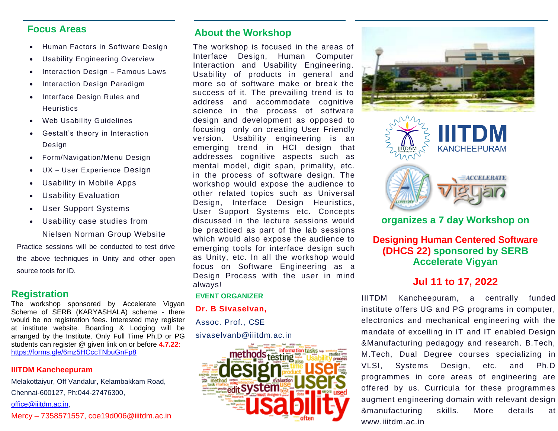#### **Focus Areas**

- Human Factors in Software Design
- Usability Engineering Overview
- Interaction Design Famous Laws
- Interaction Design Paradigm
- Interface Design Rules and **Heuristics**
- Web Usability Guidelines
- **Back Panel**  Gestalt's theory in Interaction **Heading** Design
- Form/Navigation/Menu Design
- UX User Experience Design
- Usability in Mobile Apps
- Usability Evaluation
- User Support Systems
- Usability case studies from

Nielsen Norman Group Website

Practice sessions will be conducted to test drive the above techniques in Unity and other open source tools for ID.

#### **Registration**

The workshop sponsored by Accelerate Vigyan Scheme of SERB (KARYASHALA) scheme - there would be no registration fees. Interested may register at institute website. Boarding & Lodging will be arranged by the Institute. Only Full Time Ph.D or PG students can register @ given link on or before **4.7.22**: <https://forms.gle/6mz5HCccTNbuGnFp8>

#### **IIITDM Kancheepuram**

Melakottaiyur, Off Vandalur, Kelambakkam Road, Chennai-600127, Ph:044-27476300, [office@iiitdm.ac.in,](mailto:office@iiitdm.ac.in) Mercy – 7358571557, coe19d006@iiitdm.ac.in **About the Workshop**

The workshop is focused in the areas of Interface Design, Human Computer Interaction and Usability Engineering. Usability of products in general and more so of software make or break the success of it. The prevailing trend is to address and accommodate cognitive science in the process of software design and development as opposed to focusing only on creating User Friendly version. Usability engineering is an emerging trend in HCI design that addresses cognitive aspects such as mental model, digit span, primality, etc. in the process of software design. The workshop would expose the audience to other related topics such as Universal Design, Interface Design Heuristics, User Support Systems etc. Concepts discussed in the lecture sessions would be practiced as part of the lab sessions which would also expose the audience to emerging tools for interface design such as Unity, etc. In all the workshop would focus on Software Engineering as a Design Process with the user in mind always!

#### **EVENT ORGANIZER**

**Dr. B Sivaselvan,**

Assoc. Prof., CSE

sivaselvanb@iiitdm.ac.in







# **organizes a 7 day Workshop on**

**Designing Human Centered Software (DHCS 22) sponsored by SERB Accelerate Vigyan**

### **Jul 11 to 17, 2022**

IIITDM Kancheepuram, a centrally funded institute offers UG and PG programs in computer, electronics and mechanical engineering with the mandate of excelling in IT and IT enabled Design &Manufacturing pedagogy and research. B.Tech, M.Tech, Dual Degree courses specializing in VLSI, Systems Design, etc. and Ph.D programmes in core areas of engineering are offered by us. Curricula for these programmes augment engineering domain with relevant design &manufacturing skills. More details at [www.iiitdm.ac.in](http://www.iiitdm.ac.in/)